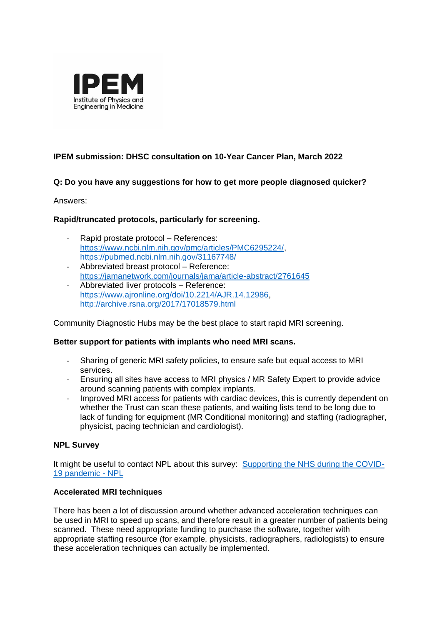

# **IPEM submission: DHSC consultation on 10-Year Cancer Plan, March 2022**

## **Q: Do you have any suggestions for how to get more people diagnosed quicker?**

Answers:

## **Rapid/truncated protocols, particularly for screening.**

- Rapid prostate protocol References: [https://www.ncbi.nlm.nih.gov/pmc/articles/PMC6295224/,](https://www.ncbi.nlm.nih.gov/pmc/articles/PMC6295224/) <https://pubmed.ncbi.nlm.nih.gov/31167748/>
- Abbreviated breast protocol Reference: <https://jamanetwork.com/journals/jama/article-abstract/2761645>
- Abbreviated liver protocols Reference: [https://www.ajronline.org/doi/10.2214/AJR.14.12986,](https://www.ajronline.org/doi/10.2214/AJR.14.12986) <http://archive.rsna.org/2017/17018579.html>

Community Diagnostic Hubs may be the best place to start rapid MRI screening.

### **Better support for patients with implants who need MRI scans.**

- Sharing of generic MRI safety policies, to ensure safe but equal access to MRI services.
- Ensuring all sites have access to MRI physics / MR Safety Expert to provide advice around scanning patients with complex implants.
- Improved MRI access for patients with cardiac devices, this is currently dependent on whether the Trust can scan these patients, and waiting lists tend to be long due to lack of funding for equipment (MR Conditional monitoring) and staffing (radiographer, physicist, pacing technician and cardiologist).

### **NPL Survey**

It might be useful to contact NPL about this survey: [Supporting the NHS during the COVID-](https://www.npl.co.uk/case-studies/supporting-nhs-during-covid19-pandemic)[19 pandemic -](https://www.npl.co.uk/case-studies/supporting-nhs-during-covid19-pandemic) NPL

### **Accelerated MRI techniques**

There has been a lot of discussion around whether advanced acceleration techniques can be used in MRI to speed up scans, and therefore result in a greater number of patients being scanned. These need appropriate funding to purchase the software, together with appropriate staffing resource (for example, physicists, radiographers, radiologists) to ensure these acceleration techniques can actually be implemented.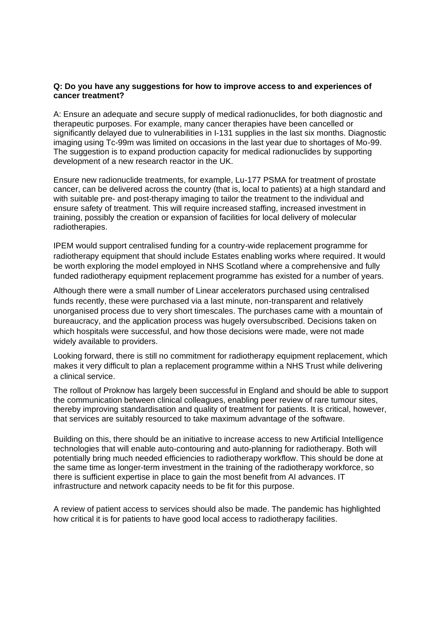#### **Q: Do you have any suggestions for how to improve access to and experiences of cancer treatment?**

A: Ensure an adequate and secure supply of medical radionuclides, for both diagnostic and therapeutic purposes. For example, many cancer therapies have been cancelled or significantly delayed due to vulnerabilities in I-131 supplies in the last six months. Diagnostic imaging using Tc-99m was limited on occasions in the last year due to shortages of Mo-99. The suggestion is to expand production capacity for medical radionuclides by supporting development of a new research reactor in the UK.

Ensure new radionuclide treatments, for example, Lu-177 PSMA for treatment of prostate cancer, can be delivered across the country (that is, local to patients) at a high standard and with suitable pre- and post-therapy imaging to tailor the treatment to the individual and ensure safety of treatment. This will require increased staffing, increased investment in training, possibly the creation or expansion of facilities for local delivery of molecular radiotherapies.

IPEM would support centralised funding for a country-wide replacement programme for radiotherapy equipment that should include Estates enabling works where required. It would be worth exploring the model employed in NHS Scotland where a comprehensive and fully funded radiotherapy equipment replacement programme has existed for a number of years.

Although there were a small number of Linear accelerators purchased using centralised funds recently, these were purchased via a last minute, non-transparent and relatively unorganised process due to very short timescales. The purchases came with a mountain of bureaucracy, and the application process was hugely oversubscribed. Decisions taken on which hospitals were successful, and how those decisions were made, were not made widely available to providers.

Looking forward, there is still no commitment for radiotherapy equipment replacement, which makes it very difficult to plan a replacement programme within a NHS Trust while delivering a clinical service.

The rollout of Proknow has largely been successful in England and should be able to support the communication between clinical colleagues, enabling peer review of rare tumour sites, thereby improving standardisation and quality of treatment for patients. It is critical, however, that services are suitably resourced to take maximum advantage of the software.

Building on this, there should be an initiative to increase access to new Artificial Intelligence technologies that will enable auto-contouring and auto-planning for radiotherapy. Both will potentially bring much needed efficiencies to radiotherapy workflow. This should be done at the same time as longer-term investment in the training of the radiotherapy workforce, so there is sufficient expertise in place to gain the most benefit from AI advances. IT infrastructure and network capacity needs to be fit for this purpose.

A review of patient access to services should also be made. The pandemic has highlighted how critical it is for patients to have good local access to radiotherapy facilities.